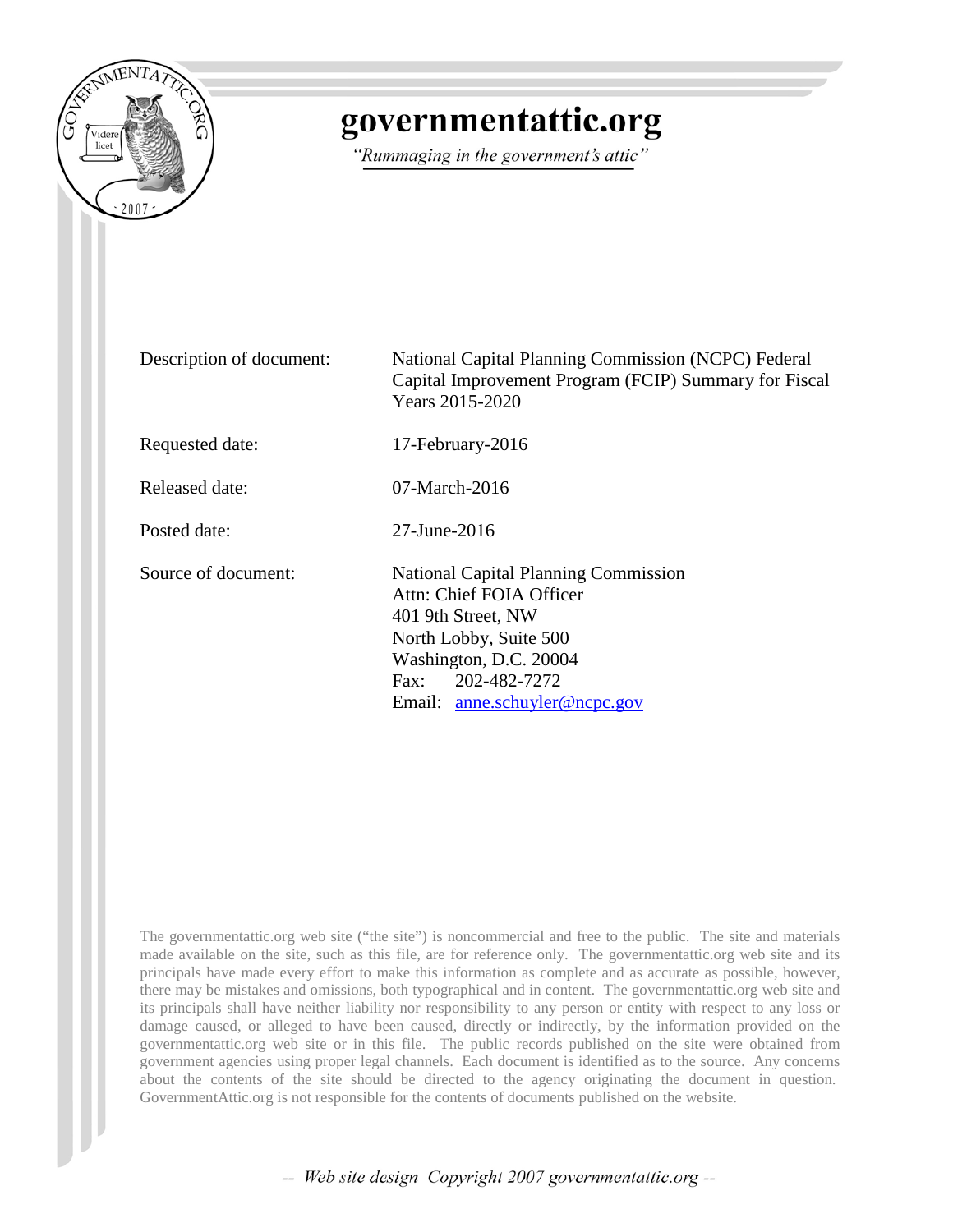

# governmentattic.org

"Rummaging in the government's attic"

| Description of document: | National Capital Planning Commission (NCPC) Federal<br>Capital Improvement Program (FCIP) Summary for Fiscal<br>Years 2015-2020                                                                            |
|--------------------------|------------------------------------------------------------------------------------------------------------------------------------------------------------------------------------------------------------|
| Requested date:          | 17-February-2016                                                                                                                                                                                           |
| Released date:           | $07$ -March-2016                                                                                                                                                                                           |
| Posted date:             | $27 - \text{June} - 2016$                                                                                                                                                                                  |
| Source of document:      | <b>National Capital Planning Commission</b><br>Attn: Chief FOIA Officer<br>401 9th Street, NW<br>North Lobby, Suite 500<br>Washington, D.C. 20004<br>202-482-7272<br>Fax:<br>Email: anne.schuyler@ncpc.gov |

The governmentattic.org web site ("the site") is noncommercial and free to the public. The site and materials made available on the site, such as this file, are for reference only. The governmentattic.org web site and its principals have made every effort to make this information as complete and as accurate as possible, however, there may be mistakes and omissions, both typographical and in content. The governmentattic.org web site and its principals shall have neither liability nor responsibility to any person or entity with respect to any loss or damage caused, or alleged to have been caused, directly or indirectly, by the information provided on the governmentattic.org web site or in this file. The public records published on the site were obtained from government agencies using proper legal channels. Each document is identified as to the source. Any concerns about the contents of the site should be directed to the agency originating the document in question. GovernmentAttic.org is not responsible for the contents of documents published on the website.

-- Web site design Copyright 2007 governmentattic.org --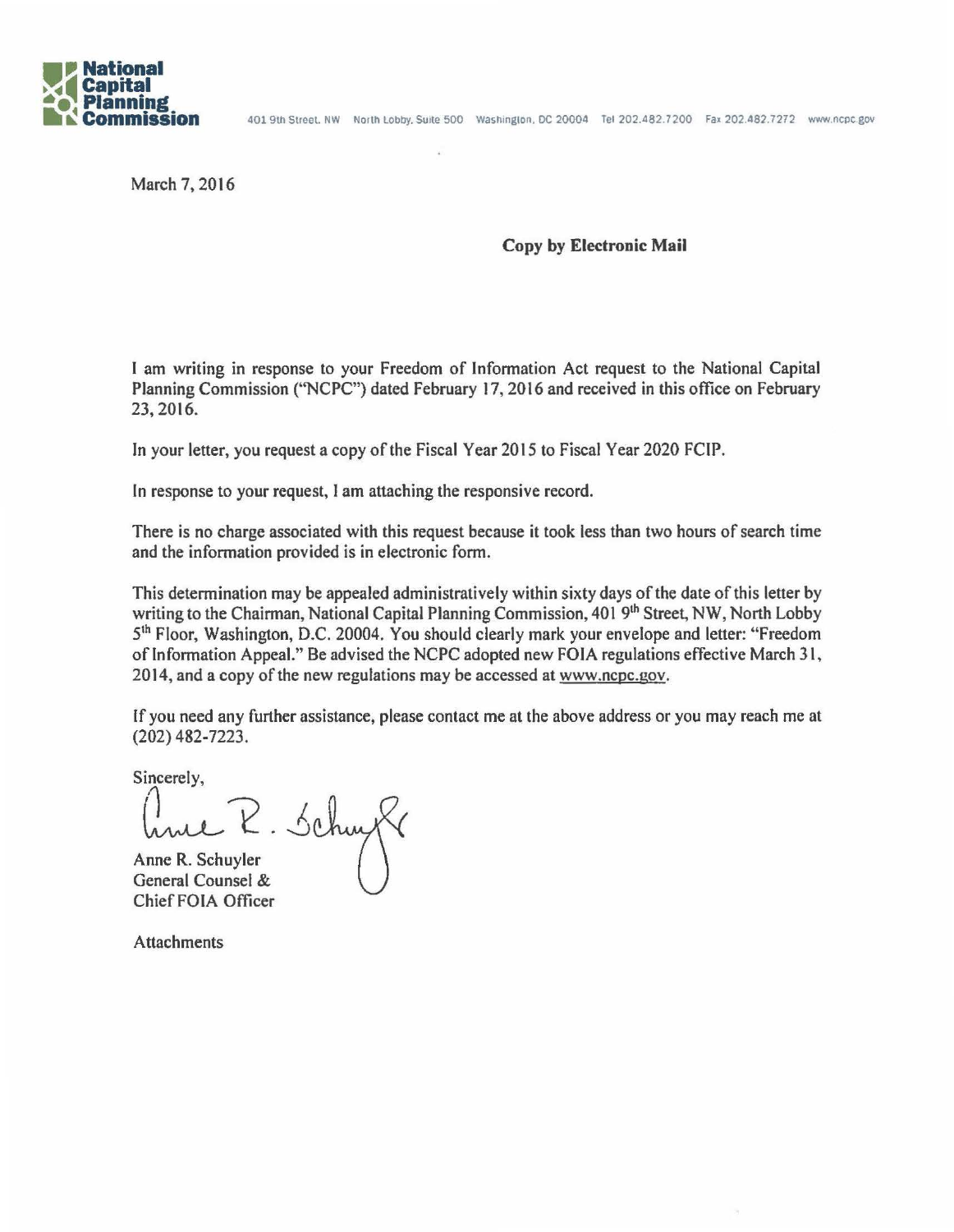

March 7, 2016

### Copy by Electronic Mail

I am writing in response to your Freedom of Information Act request to the National Capital Planning Commission ("NCPC") dated February 17, 2016 and received in this office on February 23, 2016.

In your letter, you request a copy of the Fiscal Year 2015 to Fiscal Year 2020 FCIP.

In response to your request, I am attaching the responsive record.

There is no charge associated with this request because it took less than two hours of search time and the information provided is in electronic form.

This determination may be appealed administratively within sixty days of the date of this letter by writing to the Chairman, National Capital Planning Commission, 401 9<sup>th</sup> Street, NW, North Lobby 5<sup>th</sup> Floor, Washington, D.C. 20004. You should clearly mark your envelope and letter: "Freedom of Information Appeal." Be advised the NCPC adopted new FOIA regulations effective March 31, 2014, and a copy of the new regulations may be accessed at www.ncpc.gov.

If you need any further assistance, please contact me at the above address or you may reach me at (202) 482-7223.

Sincerely,

 $R.5$ chuyt

Anne R. Schuyler General Counsel & Chief FOIA Officer

Attachments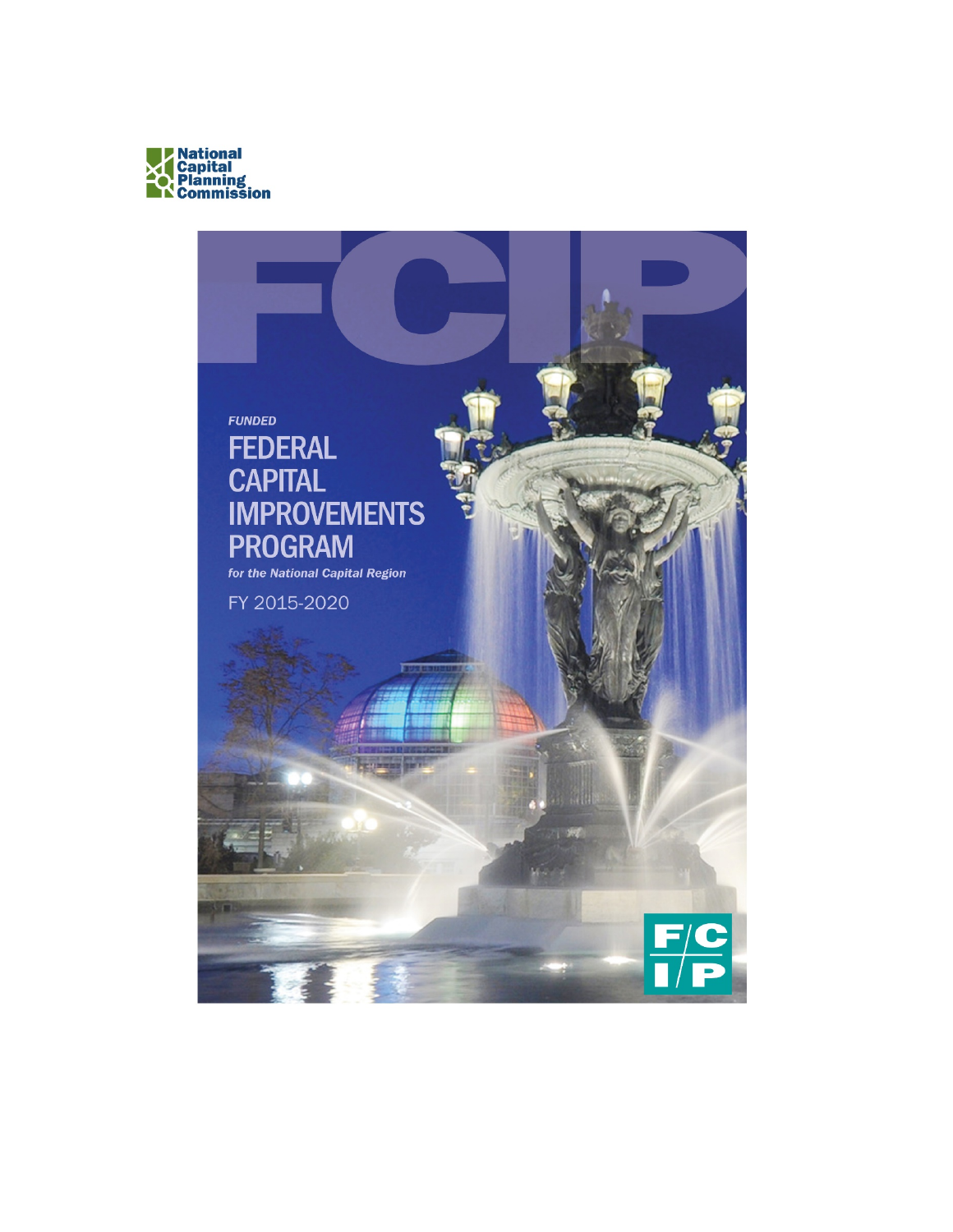

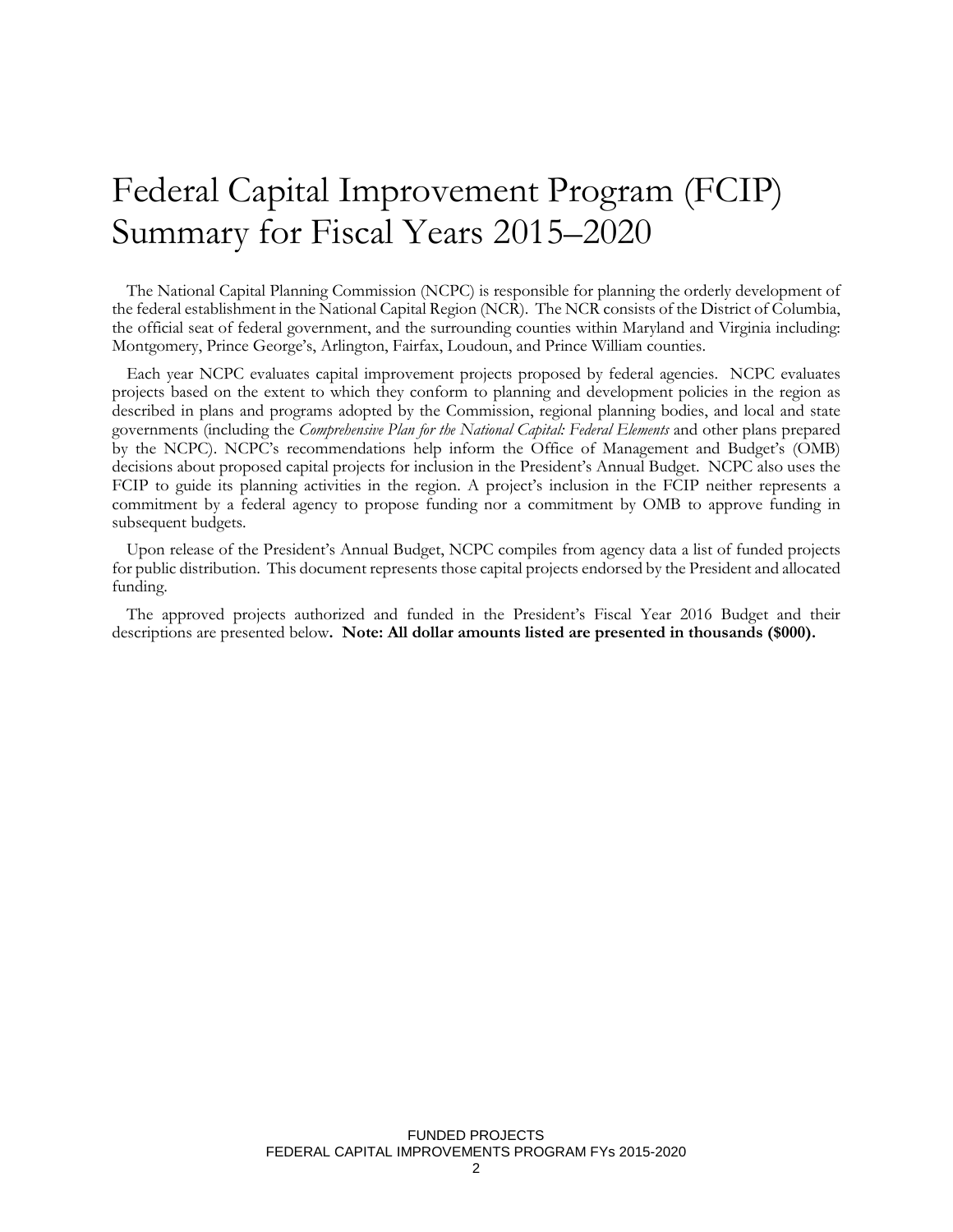# Federal Capital Improvement Program (FCIP) Summary for Fiscal Years 2015–2020

The National Capital Planning Commission (NCPC) is responsible for planning the orderly development of the federal establishment in the National Capital Region (NCR). The NCR consists of the District of Columbia, the official seat of federal government, and the surrounding counties within Maryland and Virginia including: Montgomery, Prince George's, Arlington, Fairfax, Loudoun, and Prince William counties.

Each year NCPC evaluates capital improvement projects proposed by federal agencies. NCPC evaluates projects based on the extent to which they conform to planning and development policies in the region as described in plans and programs adopted by the Commission, regional planning bodies, and local and state governments (including the *Comprehensive Plan for the National Capital: Federal Elements* and other plans prepared by the NCPC). NCPC's recommendations help inform the Office of Management and Budget's (OMB) decisions about proposed capital projects for inclusion in the President's Annual Budget. NCPC also uses the FCIP to guide its planning activities in the region. A project's inclusion in the FCIP neither represents a commitment by a federal agency to propose funding nor a commitment by OMB to approve funding in subsequent budgets.

Upon release of the President's Annual Budget, NCPC compiles from agency data a list of funded projects for public distribution. This document represents those capital projects endorsed by the President and allocated funding.

The approved projects authorized and funded in the President's Fiscal Year 2016 Budget and their descriptions are presented below**. Note: All dollar amounts listed are presented in thousands (\$000).**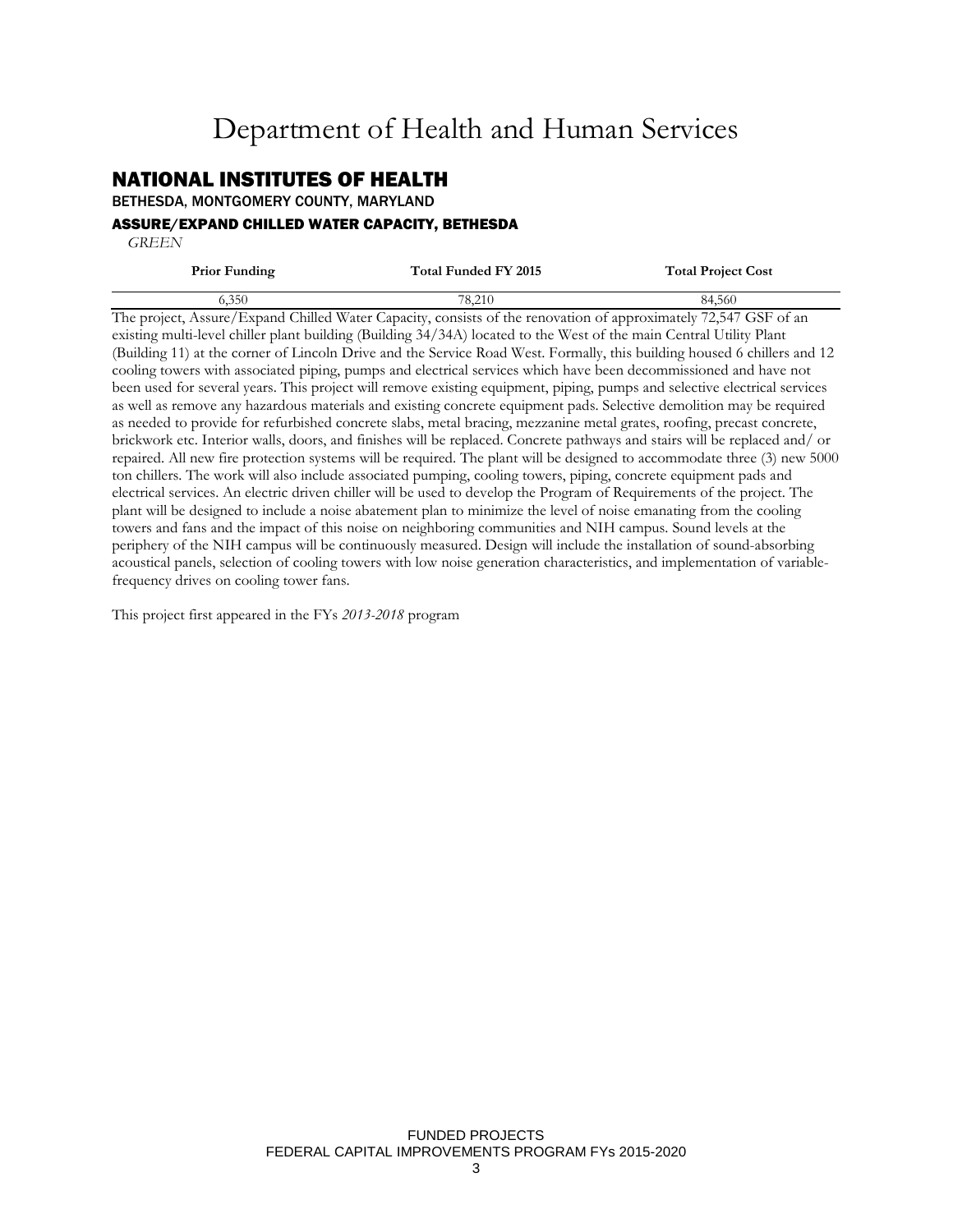## Department of Health and Human Services

## NATIONAL INSTITUTES OF HEALTH

BETHESDA, MONTGOMERY COUNTY, MARYLAND

#### ASSURE/EXPAND CHILLED WATER CAPACITY, BETHESDA

 *GREEN*

| <b>Prior Funding</b>           | Total Funded FY 2015 | <b>Total Project Cost</b> |
|--------------------------------|----------------------|---------------------------|
| 6.350                          | 78.210               | 84.560                    |
| --<br>$\overline{\phantom{a}}$ | - -<br>____          | _ _ _ _ _ _ _ _ _         |

The project, Assure/Expand Chilled Water Capacity, consists of the renovation of approximately 72,547 GSF of an existing multi-level chiller plant building (Building 34/34A) located to the West of the main Central Utility Plant (Building 11) at the corner of Lincoln Drive and the Service Road West. Formally, this building housed 6 chillers and 12 cooling towers with associated piping, pumps and electrical services which have been decommissioned and have not been used for several years. This project will remove existing equipment, piping, pumps and selective electrical services as well as remove any hazardous materials and existing concrete equipment pads. Selective demolition may be required as needed to provide for refurbished concrete slabs, metal bracing, mezzanine metal grates, roofing, precast concrete, brickwork etc. Interior walls, doors, and finishes will be replaced. Concrete pathways and stairs will be replaced and/ or repaired. All new fire protection systems will be required. The plant will be designed to accommodate three (3) new 5000 ton chillers. The work will also include associated pumping, cooling towers, piping, concrete equipment pads and electrical services. An electric driven chiller will be used to develop the Program of Requirements of the project. The plant will be designed to include a noise abatement plan to minimize the level of noise emanating from the cooling towers and fans and the impact of this noise on neighboring communities and NIH campus. Sound levels at the periphery of the NIH campus will be continuously measured. Design will include the installation of sound-absorbing acoustical panels, selection of cooling towers with low noise generation characteristics, and implementation of variablefrequency drives on cooling tower fans.

This project first appeared in the FYs *2013-2018* program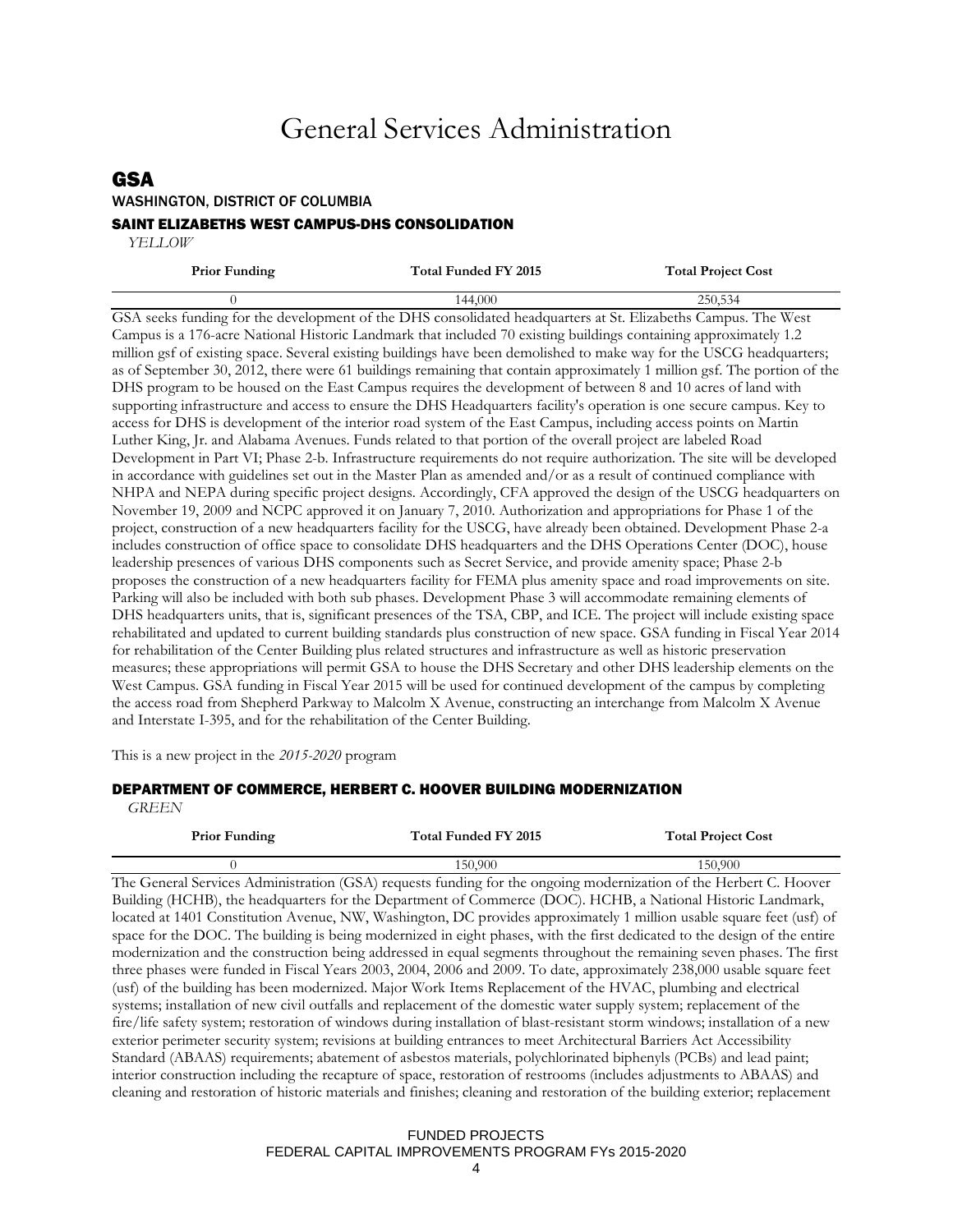## General Services Administration

## GSA

#### WASHINGTON, DISTRICT OF COLUMBIA

#### SAINT ELIZABETHS WEST CAMPUS-DHS CONSOLIDATION

 *YELLOW*

| <b>Prior Funding</b> | Total Funded FY 2015                                                                                          | <b>Total Project Cost</b> |
|----------------------|---------------------------------------------------------------------------------------------------------------|---------------------------|
|                      | 144.000                                                                                                       | 250,534                   |
|                      | GSA seeks funding for the development of the DHS consolidated headquarters at St. Elizabeths Campus. The West |                           |

Campus is a 176-acre National Historic Landmark that included 70 existing buildings containing approximately 1.2 million gsf of existing space. Several existing buildings have been demolished to make way for the USCG headquarters; as of September 30, 2012, there were 61 buildings remaining that contain approximately 1 million gsf. The portion of the DHS program to be housed on the East Campus requires the development of between 8 and 10 acres of land with supporting infrastructure and access to ensure the DHS Headquarters facility's operation is one secure campus. Key to access for DHS is development of the interior road system of the East Campus, including access points on Martin Luther King, Jr. and Alabama Avenues. Funds related to that portion of the overall project are labeled Road Development in Part VI; Phase 2-b. Infrastructure requirements do not require authorization. The site will be developed in accordance with guidelines set out in the Master Plan as amended and/or as a result of continued compliance with NHPA and NEPA during specific project designs. Accordingly, CFA approved the design of the USCG headquarters on November 19, 2009 and NCPC approved it on January 7, 2010. Authorization and appropriations for Phase 1 of the project, construction of a new headquarters facility for the USCG, have already been obtained. Development Phase 2-a includes construction of office space to consolidate DHS headquarters and the DHS Operations Center (DOC), house leadership presences of various DHS components such as Secret Service, and provide amenity space; Phase 2-b proposes the construction of a new headquarters facility for FEMA plus amenity space and road improvements on site. Parking will also be included with both sub phases. Development Phase 3 will accommodate remaining elements of DHS headquarters units, that is, significant presences of the TSA, CBP, and ICE. The project will include existing space rehabilitated and updated to current building standards plus construction of new space. GSA funding in Fiscal Year 2014 for rehabilitation of the Center Building plus related structures and infrastructure as well as historic preservation measures; these appropriations will permit GSA to house the DHS Secretary and other DHS leadership elements on the West Campus. GSA funding in Fiscal Year 2015 will be used for continued development of the campus by completing the access road from Shepherd Parkway to Malcolm X Avenue, constructing an interchange from Malcolm X Avenue and Interstate I-395, and for the rehabilitation of the Center Building.

This is a new project in the *2015-2020* program

#### DEPARTMENT OF COMMERCE, HERBERT C. HOOVER BUILDING MODERNIZATION

 *GREEN*

| <b>Prior Funding</b> | Total Funded FY 2015 | <b>Total Project Cost</b> |
|----------------------|----------------------|---------------------------|
|                      | 150.900              | 150.900                   |

The General Services Administration (GSA) requests funding for the ongoing modernization of the Herbert C. Hoover Building (HCHB), the headquarters for the Department of Commerce (DOC). HCHB, a National Historic Landmark, located at 1401 Constitution Avenue, NW, Washington, DC provides approximately 1 million usable square feet (usf) of space for the DOC. The building is being modernized in eight phases, with the first dedicated to the design of the entire modernization and the construction being addressed in equal segments throughout the remaining seven phases. The first three phases were funded in Fiscal Years 2003, 2004, 2006 and 2009. To date, approximately 238,000 usable square feet (usf) of the building has been modernized. Major Work Items Replacement of the HVAC, plumbing and electrical systems; installation of new civil outfalls and replacement of the domestic water supply system; replacement of the fire/life safety system; restoration of windows during installation of blast-resistant storm windows; installation of a new exterior perimeter security system; revisions at building entrances to meet Architectural Barriers Act Accessibility Standard (ABAAS) requirements; abatement of asbestos materials, polychlorinated biphenyls (PCBs) and lead paint; interior construction including the recapture of space, restoration of restrooms (includes adjustments to ABAAS) and cleaning and restoration of historic materials and finishes; cleaning and restoration of the building exterior; replacement

### FUNDED PROJECTS FEDERAL CAPITAL IMPROVEMENTS PROGRAM FYs 2015-2020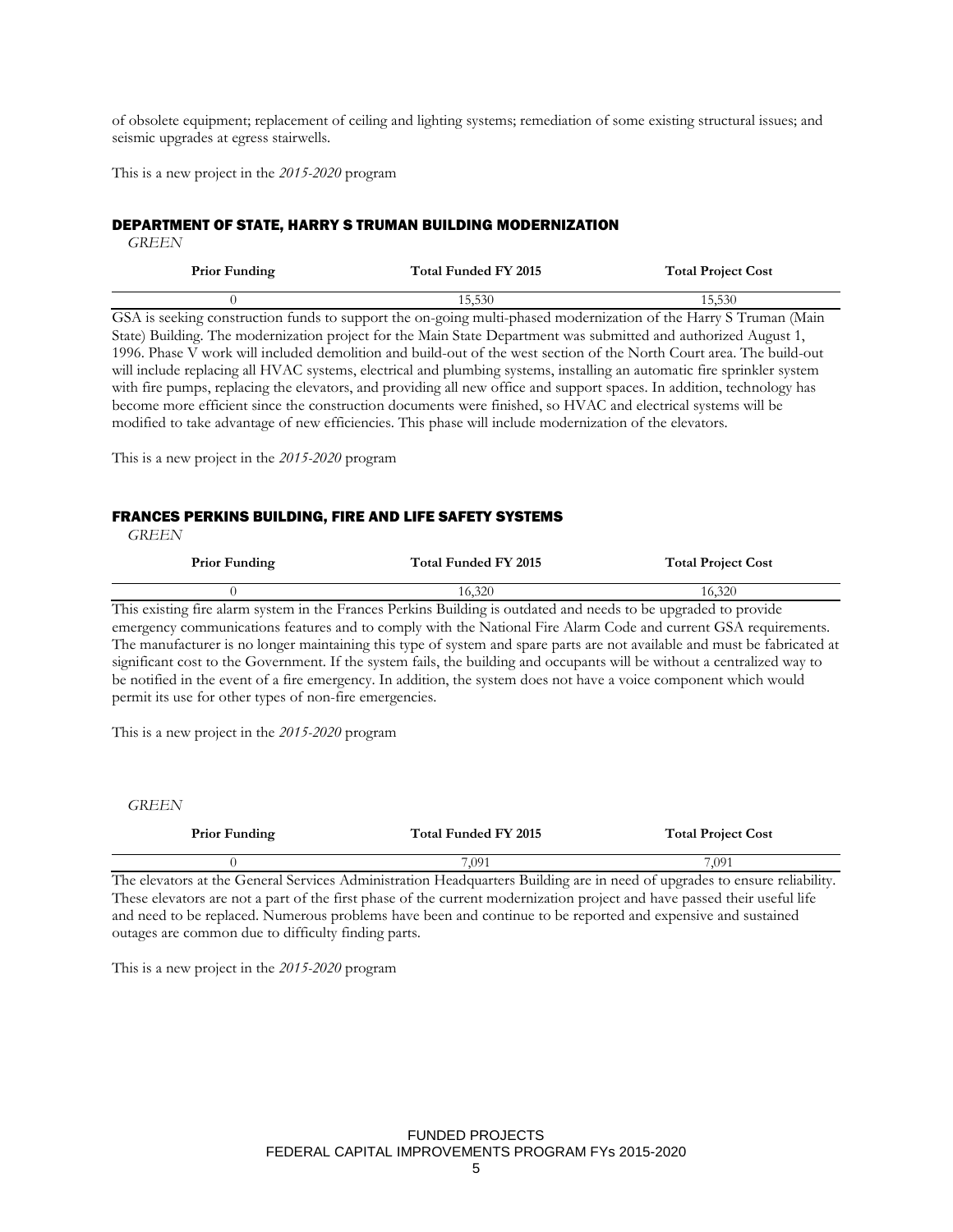of obsolete equipment; replacement of ceiling and lighting systems; remediation of some existing structural issues; and seismic upgrades at egress stairwells.

This is a new project in the *2015-2020* program

#### DEPARTMENT OF STATE, HARRY S TRUMAN BUILDING MODERNIZATION

 *GREEN*

| <b>Prior Funding</b> | Total Funded FY 2015 | <b>Total Project Cost</b>                          |
|----------------------|----------------------|----------------------------------------------------|
|                      | 15.530               | 15.530                                             |
| _____<br>$\sim$      |                      | ___<br>$\sim$ $\sim$ $\sim$ $\sim$ $\sim$<br>$  -$ |

GSA is seeking construction funds to support the on-going multi-phased modernization of the Harry S Truman (Main State) Building. The modernization project for the Main State Department was submitted and authorized August 1, 1996. Phase V work will included demolition and build-out of the west section of the North Court area. The build-out will include replacing all HVAC systems, electrical and plumbing systems, installing an automatic fire sprinkler system with fire pumps, replacing the elevators, and providing all new office and support spaces. In addition, technology has become more efficient since the construction documents were finished, so HVAC and electrical systems will be modified to take advantage of new efficiencies. This phase will include modernization of the elevators.

This is a new project in the *2015-2020* program

#### FRANCES PERKINS BUILDING, FIRE AND LIFE SAFETY SYSTEMS

 *GREEN*

| <b>Prior Funding</b> | Total Funded FY 2015                                    | <b>Total Project Cost</b> |
|----------------------|---------------------------------------------------------|---------------------------|
|                      | 16.320                                                  | 16.320                    |
| .                    | $\mathbf{D}$ is $\mathbf{D}$ in the set of $\mathbf{D}$ |                           |

This existing fire alarm system in the Frances Perkins Building is outdated and needs to be upgraded to provide emergency communications features and to comply with the National Fire Alarm Code and current GSA requirements. The manufacturer is no longer maintaining this type of system and spare parts are not available and must be fabricated at significant cost to the Government. If the system fails, the building and occupants will be without a centralized way to be notified in the event of a fire emergency. In addition, the system does not have a voice component which would permit its use for other types of non-fire emergencies.

This is a new project in the *2015-2020* program

*GREEN*

| <b>Prior Funding</b> | Total Funded FY 2015 | <b>Total Project Cost</b> |
|----------------------|----------------------|---------------------------|
|                      | 7.091                | 7.091                     |

The elevators at the General Services Administration Headquarters Building are in need of upgrades to ensure reliability. These elevators are not a part of the first phase of the current modernization project and have passed their useful life and need to be replaced. Numerous problems have been and continue to be reported and expensive and sustained outages are common due to difficulty finding parts.

This is a new project in the *2015-2020* program